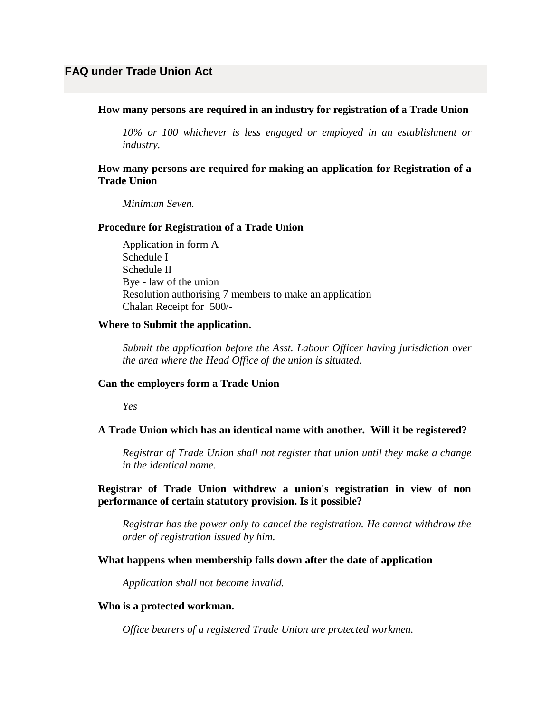### **How many persons are required in an industry for registration of a Trade Union**

*10% or 100 whichever is less engaged or employed in an establishment or industry.*

# **How many persons are required for making an application for Registration of a Trade Union**

*Minimum Seven.*

#### **Procedure for Registration of a Trade Union**

Application in form A Schedule I Schedule II Bye - law of the union Resolution authorising 7 members to make an application Chalan Receipt for 500/-

#### **Where to Submit the application.**

*Submit the application before the Asst. Labour Officer having jurisdiction over the area where the Head Office of the union is situated.*

#### **Can the employers form a Trade Union**

*Yes*

# **A Trade Union which has an identical name with another. Will it be registered?**

*Registrar of Trade Union shall not register that union until they make a change in the identical name.*

**Registrar of Trade Union withdrew a union's registration in view of non performance of certain statutory provision. Is it possible?**

*Registrar has the power only to cancel the registration. He cannot withdraw the order of registration issued by him.*

#### **What happens when membership falls down after the date of application**

*Application shall not become invalid.*

#### **Who is a protected workman.**

*Office bearers of a registered Trade Union are protected workmen.*